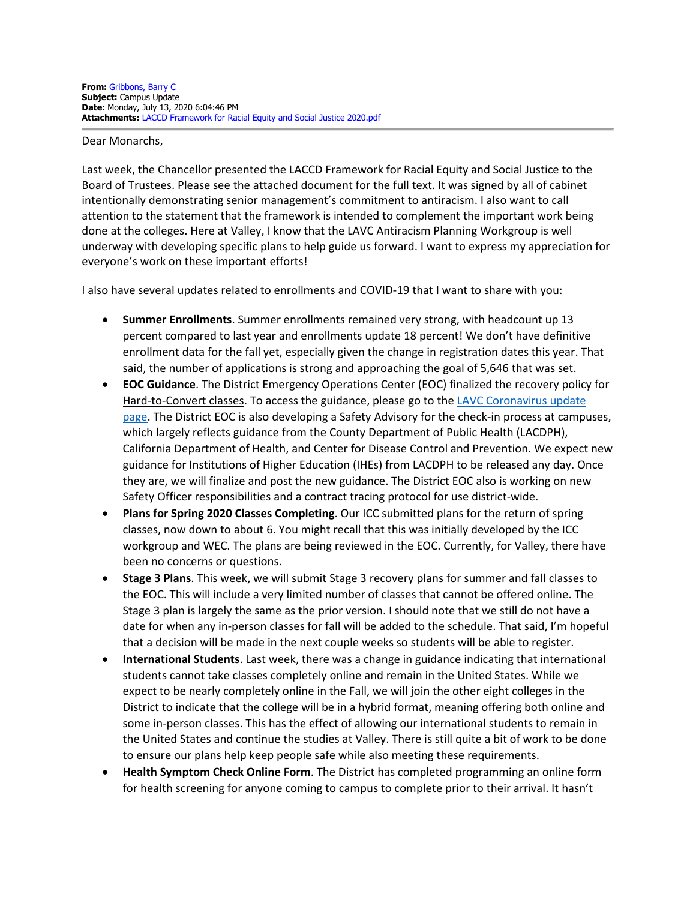## Dear Monarchs,

Last week, the Chancellor presented the LACCD Framework for Racial Equity and Social Justice to the Board of Trustees. Please see the attached document for the full text. It was signed by all of cabinet intentionally demonstrating senior management's commitment to antiracism. I also want to call attention to the statement that the framework is intended to complement the important work being done at the colleges. Here at Valley, I know that the LAVC Antiracism Planning Workgroup is well underway with developing specific plans to help guide us forward. I want to express my appreciation for everyone's work on these important efforts!

I also have several updates related to enrollments and COVID-19 that I want to share with you:

- **Summer Enrollments**. Summer enrollments remained very strong, with headcount up 13 percent compared to last year and enrollments update 18 percent! We don't have definitive enrollment data for the fall yet, especially given the change in registration dates this year. That said, the number of applications is strong and approaching the goal of 5,646 that was set.
- **EOC Guidance**. The District Emergency Operations Center (EOC) finalized the recovery policy for Hard-to-Convert classes. To access the guidance, please go to the [LAVC Coronavirus update](https://www.lavc.edu/Coronavirus/Faculty-Updates.aspx)  [page.](https://www.lavc.edu/Coronavirus/Faculty-Updates.aspx) The District EOC is also developing a Safety Advisory for the check-in process at campuses, which largely reflects guidance from the County Department of Public Health (LACDPH), California Department of Health, and Center for Disease Control and Prevention. We expect new guidance for Institutions of Higher Education (IHEs) from LACDPH to be released any day. Once they are, we will finalize and post the new guidance. The District EOC also is working on new Safety Officer responsibilities and a contract tracing protocol for use district-wide.
- **Plans for Spring 2020 Classes Completing**. Our ICC submitted plans for the return of spring classes, now down to about 6. You might recall that this was initially developed by the ICC workgroup and WEC. The plans are being reviewed in the EOC. Currently, for Valley, there have been no concerns or questions.
- **Stage 3 Plans**. This week, we will submit Stage 3 recovery plans for summer and fall classes to the EOC. This will include a very limited number of classes that cannot be offered online. The Stage 3 plan is largely the same as the prior version. I should note that we still do not have a date for when any in-person classes for fall will be added to the schedule. That said, I'm hopeful that a decision will be made in the next couple weeks so students will be able to register.
- **International Students**. Last week, there was a change in guidance indicating that international students cannot take classes completely online and remain in the United States. While we expect to be nearly completely online in the Fall, we will join the other eight colleges in the District to indicate that the college will be in a hybrid format, meaning offering both online and some in-person classes. This has the effect of allowing our international students to remain in the United States and continue the studies at Valley. There is still quite a bit of work to be done to ensure our plans help keep people safe while also meeting these requirements.
- **Health Symptom Check Online Form**. The District has completed programming an online form for health screening for anyone coming to campus to complete prior to their arrival. It hasn't